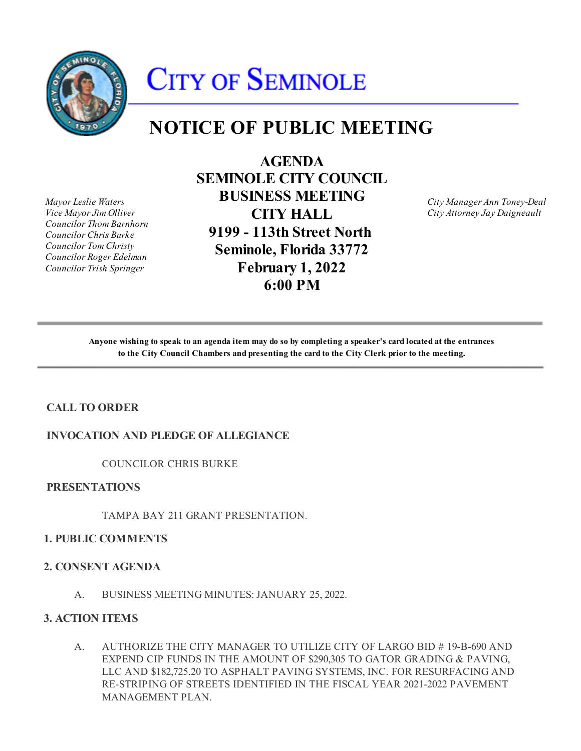

# **CITY OF SEMINOLE**

# **NOTICE OF PUBLIC MEETING**

*Mayor Leslie Waters Vice Mayor Jim Olliver Councilor Thom Barnhorn Councilor Chris Burke Councilor Tom Christy Councilor Roger Edelman Councilor Trish Springer*

**AGENDA SEMINOLE CITY COUNCIL BUSINESS MEETING CITY HALL 9199 - 113th Street North Seminole, Florida 33772 February 1, 2022 6:00 PM**

*City Manager Ann Toney-Deal City Attorney Jay Daigneault*

**Anyone wishing to speak to an agenda item may do so by completing a speaker's card located at the entrances to the City Council Chambers and presenting the card to the City Clerk prior to the meeting.**

# **CALL TO ORDER**

# **INVOCATION AND PLEDGE OF ALLEGIANCE**

COUNCILOR CHRIS BURKE

# **PRESENTATIONS**

TAMPA BAY 211 GRANT PRESENTATION.

#### **1. PUBLIC COMMENTS**

#### **2. CONSENT AGENDA**

A. BUSINESS MEETING MINUTES: JANUARY 25, 2022.

#### **3. ACTION ITEMS**

A. AUTHORIZE THE CITY MANAGER TO UTILIZE CITY OF LARGO BID # 19-B-690 AND EXPEND CIP FUNDS IN THE AMOUNT OF \$290,305 TO GATOR GRADING & PAVING, LLC AND \$182,725.20 TO ASPHALT PAVING SYSTEMS, INC. FOR RESURFACING AND RE-STRIPING OF STREETS IDENTIFIED IN THE FISCAL YEAR 2021-2022 PAVEMENT MANAGEMENT PLAN.